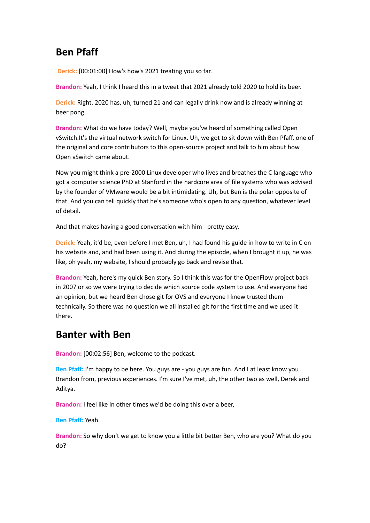# **Ben Pfaff**

**Derick:** [00:01:00] How's how's 2021 treating you so far.

**Brandon:** Yeah, I think I heard this in a tweet that 2021 already told 2020 to hold its beer.

**Derick:** Right. 2020 has, uh, turned 21 and can legally drink now and is already winning at beer pong.

**Brandon:** What do we have today? Well, maybe you've heard of something called Open vSwitch.It's the virtual network switch for Linux. Uh, we got to sit down with Ben Pfaff, one of the original and core contributors to this open-source project and talk to him about how Open vSwitch came about.

Now you might think a pre-2000 Linux developer who lives and breathes the C language who got a computer science PhD at Stanford in the hardcore area of file systems who was advised by the founder of VMware would be a bit intimidating. Uh, but Ben is the polar opposite of that. And you can tell quickly that he's someone who's open to any question, whatever level of detail.

And that makes having a good conversation with him - pretty easy.

**Derick:** Yeah, it'd be, even before I met Ben, uh, I had found his guide in how to write in C on his website and, and had been using it. And during the episode, when I brought it up, he was like, oh yeah, my website, I should probably go back and revise that.

**Brandon:** Yeah, here's my quick Ben story. So I think this was for the OpenFlow project back in 2007 or so we were trying to decide which source code system to use. And everyone had an opinion, but we heard Ben chose git for OVS and everyone I knew trusted them technically. So there was no question we all installed git for the first time and we used it there.

### **Banter with Ben**

**Brandon:** [00:02:56] Ben, welcome to the podcast.

**Ben Pfaff:** I'm happy to be here. You guys are - you guys are fun. And I at least know you Brandon from, previous experiences. I'm sure I've met, uh, the other two as well, Derek and Aditya.

**Brandon:** I feel like in other times we'd be doing this over a beer,

**Ben Pfaff:** Yeah.

**Brandon:** So why don't we get to know you a little bit better Ben, who are you? What do you do?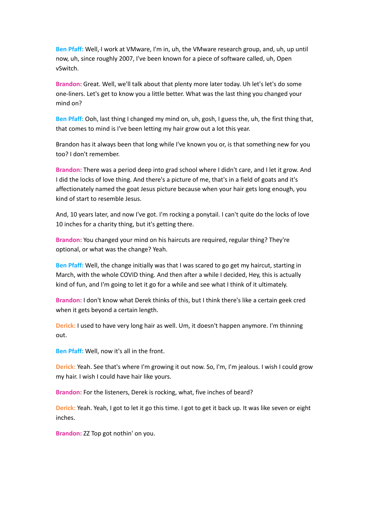**Ben Pfaff:** Well, I work at VMware, I'm in, uh, the VMware research group, and, uh, up until now, uh, since roughly 2007, I've been known for a piece of software called, uh, Open vSwitch.

**Brandon:** Great. Well, we'll talk about that plenty more later today. Uh let's let's do some one-liners. Let's get to know you a little better. What was the last thing you changed your mind on?

**Ben Pfaff:** Ooh, last thing I changed my mind on, uh, gosh, I guess the, uh, the first thing that, that comes to mind is I've been letting my hair grow out a lot this year.

Brandon has it always been that long while I've known you or, is that something new for you too? I don't remember.

**Brandon:** There was a period deep into grad school where I didn't care, and I let it grow. And I did the locks of love thing. And there's a picture of me, that's in a field of goats and it's affectionately named the goat Jesus picture because when your hair gets long enough, you kind of start to resemble Jesus.

And, 10 years later, and now I've got. I'm rocking a ponytail. I can't quite do the locks of love 10 inches for a charity thing, but it's getting there.

**Brandon:** You changed your mind on his haircuts are required, regular thing? They're optional, or what was the change? Yeah.

**Ben Pfaff:** Well, the change initially was that I was scared to go get my haircut, starting in March, with the whole COVID thing. And then after a while I decided, Hey, this is actually kind of fun, and I'm going to let it go for a while and see what I think of it ultimately.

**Brandon:** I don't know what Derek thinks of this, but I think there's like a certain geek cred when it gets beyond a certain length.

**Derick:** I used to have very long hair as well. Um, it doesn't happen anymore. I'm thinning out.

**Ben Pfaff:** Well, now it's all in the front.

**Derick:** Yeah. See that's where I'm growing it out now. So, I'm, I'm jealous. I wish I could grow my hair. I wish I could have hair like yours.

**Brandon:** For the listeners, Derek is rocking, what, five inches of beard?

**Derick:** Yeah. Yeah, I got to let it go this time. I got to get it back up. It was like seven or eight inches.

**Brandon:** ZZ Top got nothin' on you.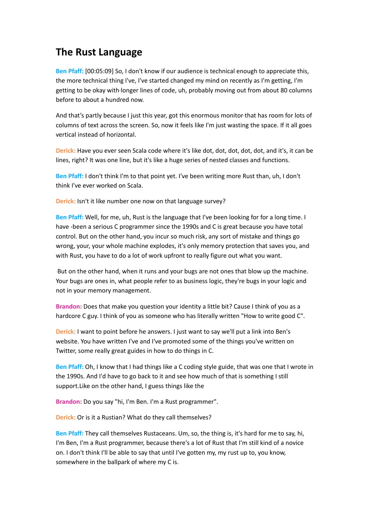# **The Rust Language**

**Ben Pfaff:** [00:05:09] So, I don't know if our audience is technical enough to appreciate this, the more technical thing I've, I've started changed my mind on recently as I'm getting, I'm getting to be okay with longer lines of code, uh, probably moving out from about 80 columns before to about a hundred now.

And that's partly because I just this year, got this enormous monitor that has room for lots of columns of text across the screen. So, now it feels like I'm just wasting the space. If it all goes vertical instead of horizontal.

**Derick:** Have you ever seen Scala code where it's like dot, dot, dot, dot, dot, and it's, it can be lines, right? It was one line, but it's like a huge series of nested classes and functions.

**Ben Pfaff:** I don't think I'm to that point yet. I've been writing more Rust than, uh, I don't think I've ever worked on Scala.

**Derick:** Isn't it like number one now on that language survey?

**Ben Pfaff:** Well, for me, uh, Rust is the language that I've been looking for for a long time. I have -been a serious C programmer since the 1990s and C is great because you have total control. But on the other hand, you incur so much risk, any sort of mistake and things go wrong, your, your whole machine explodes, it's only memory protection that saves you, and with Rust, you have to do a lot of work upfront to really figure out what you want.

But on the other hand, when it runs and your bugs are not ones that blow up the machine. Your bugs are ones in, what people refer to as business logic, they're bugs in your logic and not in your memory management.

**Brandon:** Does that make you question your identity a little bit? Cause I think of you as a hardcore C guy. I think of you as someone who has literally written "How to write good C".

**Derick:** I want to point before he answers. I just want to say we'll put a link into Ben's website. You have written I've and I've promoted some of the things you've written on Twitter, some really great guides in how to do things in C.

**Ben Pfaff:** Oh, I know that I had things like a C coding style guide, that was one that I wrote in the 1990s. And I'd have to go back to it and see how much of that is something I still support.Like on the other hand, I guess things like the

**Brandon:** Do you say "hi, I'm Ben. I'm a Rust programmer".

**Derick:** Or is it a Rustian? What do they call themselves?

**Ben Pfaff:** They call themselves Rustaceans. Um, so, the thing is, it's hard for me to say, hi, I'm Ben, I'm a Rust programmer, because there's a lot of Rust that I'm still kind of a novice on. I don't think I'll be able to say that until I've gotten my, my rust up to, you know, somewhere in the ballpark of where my C is.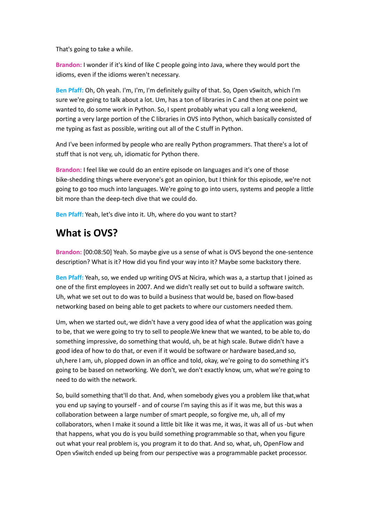That's going to take a while.

**Brandon:** I wonder if it's kind of like C people going into Java, where they would port the idioms, even if the idioms weren't necessary.

**Ben Pfaff:** Oh, Oh yeah. I'm, I'm, I'm definitely guilty of that. So, Open vSwitch, which I'm sure we're going to talk about a lot. Um, has a ton of libraries in C and then at one point we wanted to, do some work in Python. So, I spent probably what you call a long weekend, porting a very large portion of the C libraries in OVS into Python, which basically consisted of me typing as fast as possible, writing out all of the C stuff in Python.

And I've been informed by people who are really Python programmers. That there's a lot of stuff that is not very, uh, idiomatic for Python there.

**Brandon:** I feel like we could do an entire episode on languages and it's one of those bike-shedding things where everyone's got an opinion, but I think for this episode, we're not going to go too much into languages. We're going to go into users, systems and people a little bit more than the deep-tech dive that we could do.

**Ben Pfaff:** Yeah, let's dive into it. Uh, where do you want to start?

# **What is OVS?**

**Brandon:** [00:08:50] Yeah. So maybe give us a sense of what is OVS beyond the one-sentence description? What is it? How did you find your way into it? Maybe some backstory there.

**Ben Pfaff:** Yeah, so, we ended up writing OVS at Nicira, which was a, a startup that I joined as one of the first employees in 2007. And we didn't really set out to build a software switch. Uh, what we set out to do was to build a business that would be, based on flow-based networking based on being able to get packets to where our customers needed them.

Um, when we started out, we didn't have a very good idea of what the application was going to be, that we were going to try to sell to people.We knew that we wanted, to be able to, do something impressive, do something that would, uh, be at high scale. Butwe didn't have a good idea of how to do that, or even if it would be software or hardware based,and so, uh,here I am, uh, plopped down in an office and told, okay, we're going to do something it's going to be based on networking. We don't, we don't exactly know, um, what we're going to need to do with the network.

So, build something that'll do that. And, when somebody gives you a problem like that,what you end up saying to yourself - and of course I'm saying this as if it was me, but this was a collaboration between a large number of smart people, so forgive me, uh, all of my collaborators, when I make it sound a little bit like it was me, it was, it was all of us -but when that happens, what you do is you build something programmable so that, when you figure out what your real problem is, you program it to do that. And so, what, uh, OpenFlow and Open vSwitch ended up being from our perspective was a programmable packet processor.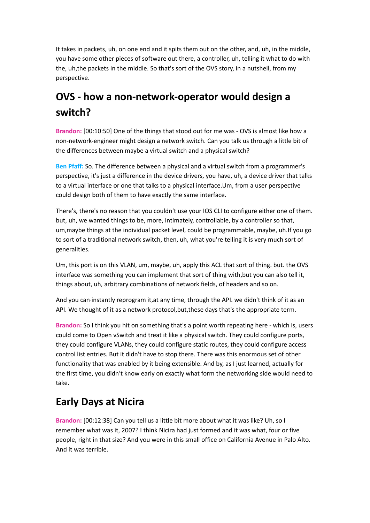It takes in packets, uh, on one end and it spits them out on the other, and, uh, in the middle, you have some other pieces of software out there, a controller, uh, telling it what to do with the, uh,the packets in the middle. So that's sort of the OVS story, in a nutshell, from my perspective.

# **OVS - how a non-network-operator would design a switch?**

**Brandon:** [00:10:50] One of the things that stood out for me was - OVS is almost like how a non-network-engineer might design a network switch. Can you talk us through a little bit of the differences between maybe a virtual switch and a physical switch?

**Ben Pfaff:** So. The difference between a physical and a virtual switch from a programmer's perspective, it's just a difference in the device drivers, you have, uh, a device driver that talks to a virtual interface or one that talks to a physical interface.Um, from a user perspective could design both of them to have exactly the same interface.

There's, there's no reason that you couldn't use your IOS CLI to configure either one of them. but, uh, we wanted things to be, more, intimately, controllable, by a controller so that, um,maybe things at the individual packet level, could be programmable, maybe, uh.If you go to sort of a traditional network switch, then, uh, what you're telling it is very much sort of generalities.

Um, this port is on this VLAN, um, maybe, uh, apply this ACL that sort of thing. but. the OVS interface was something you can implement that sort of thing with,but you can also tell it, things about, uh, arbitrary combinations of network fields, of headers and so on.

And you can instantly reprogram it,at any time, through the API. we didn't think of it as an API. We thought of it as a network protocol,but,these days that's the appropriate term.

**Brandon:** So I think you hit on something that's a point worth repeating here - which is, users could come to Open vSwitch and treat it like a physical switch. They could configure ports, they could configure VLANs, they could configure static routes, they could configure access control list entries. But it didn't have to stop there. There was this enormous set of other functionality that was enabled by it being extensible. And by, as I just learned, actually for the first time, you didn't know early on exactly what form the networking side would need to take.

# **Early Days at Nicira**

**Brandon:** [00:12:38] Can you tell us a little bit more about what it was like? Uh, so I remember what was it, 2007? I think Nicira had just formed and it was what, four or five people, right in that size? And you were in this small office on California Avenue in Palo Alto. And it was terrible.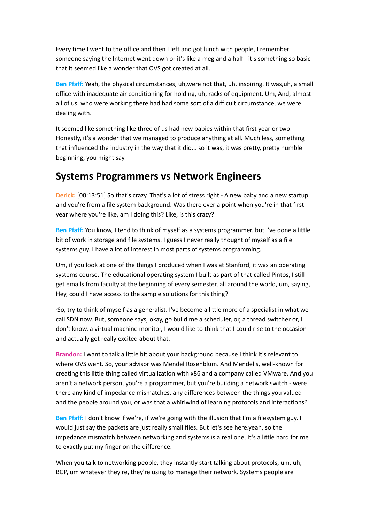Every time I went to the office and then I left and got lunch with people, I remember someone saying the Internet went down or it's like a meg and a half - it's something so basic that it seemed like a wonder that OVS got created at all.

**Ben Pfaff:** Yeah, the physical circumstances, uh,were not that, uh, inspiring. It was,uh, a small office with inadequate air conditioning for holding, uh, racks of equipment. Um, And, almost all of us, who were working there had had some sort of a difficult circumstance, we were dealing with.

It seemed like something like three of us had new babies within that first year or two. Honestly, it's a wonder that we managed to produce anything at all. Much less, something that influenced the industry in the way that it did... so it was, it was pretty, pretty humble beginning, you might say.

### **Systems Programmers vs Network Engineers**

**Derick:** [00:13:51] So that's crazy. That's a lot of stress right - A new baby and a new startup, and you're from a file system background. Was there ever a point when you're in that first year where you're like, am I doing this? Like, is this crazy?

**Ben Pfaff:** You know, I tend to think of myself as a systems programmer. but I've done a little bit of work in storage and file systems. I guess I never really thought of myself as a file systems guy. I have a lot of interest in most parts of systems programming.

Um, if you look at one of the things I produced when I was at Stanford, it was an operating systems course. The educational operating system I built as part of that called Pintos, I still get emails from faculty at the beginning of every semester, all around the world, um, saying, Hey, could I have access to the sample solutions for this thing?

So, try to think of myself as a generalist. I've become a little more of a specialist in what we call SDN now. But, someone says, okay, go build me a scheduler, or, a thread switcher or, I don't know, a virtual machine monitor, I would like to think that I could rise to the occasion and actually get really excited about that.

**Brandon:** I want to talk a little bit about your background because I think it's relevant to where OVS went. So, your advisor was Mendel Rosenblum. And Mendel's, well-known for creating this little thing called virtualization with x86 and a company called VMware. And you aren't a network person, you're a programmer, but you're building a network switch - were there any kind of impedance mismatches, any differences between the things you valued and the people around you, or was that a whirlwind of learning protocols and interactions?

**Ben Pfaff:** I don't know if we're, if we're going with the illusion that I'm a filesystem guy. I would just say the packets are just really small files. But let's see here.yeah, so the impedance mismatch between networking and systems is a real one, It's a little hard for me to exactly put my finger on the difference.

When you talk to networking people, they instantly start talking about protocols, um, uh, BGP, um whatever they're, they're using to manage their network. Systems people are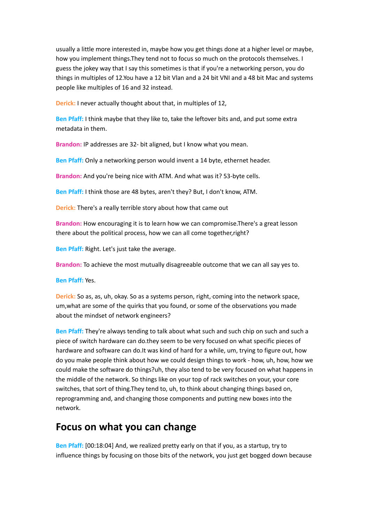usually a little more interested in, maybe how you get things done at a higher level or maybe, how you implement things.They tend not to focus so much on the protocols themselves. I guess the jokey way that I say this sometimes is that if you're a networking person, you do things in multiples of 12.You have a 12 bit Vlan and a 24 bit VNI and a 48 bit Mac and systems people like multiples of 16 and 32 instead.

**Derick:** I never actually thought about that, in multiples of 12,

**Ben Pfaff:** I think maybe that they like to, take the leftover bits and, and put some extra metadata in them.

**Brandon:** IP addresses are 32- bit aligned, but I know what you mean.

**Ben Pfaff:** Only a networking person would invent a 14 byte, ethernet header.

**Brandon:** And you're being nice with ATM. And what was it? 53-byte cells.

**Ben Pfaff:** I think those are 48 bytes, aren't they? But, I don't know, ATM.

**Derick:** There's a really terrible story about how that came out

**Brandon:** How encouraging it is to learn how we can compromise.There's a great lesson there about the political process, how we can all come together,right?

**Ben Pfaff:** Right. Let's just take the average.

**Brandon:** To achieve the most mutually disagreeable outcome that we can all say yes to.

**Ben Pfaff:** Yes.

**Derick:** So as, as, uh, okay. So as a systems person, right, coming into the network space, um,what are some of the quirks that you found, or some of the observations you made about the mindset of network engineers?

**Ben Pfaff:** They're always tending to talk about what such and such chip on such and such a piece of switch hardware can do.they seem to be very focused on what specific pieces of hardware and software can do.It was kind of hard for a while, um, trying to figure out, how do you make people think about how we could design things to work - how, uh, how, how we could make the software do things?uh, they also tend to be very focused on what happens in the middle of the network. So things like on your top of rack switches on your, your core switches, that sort of thing.They tend to, uh, to think about changing things based on, reprogramming and, and changing those components and putting new boxes into the network.

### **Focus on what you can change**

**Ben Pfaff:** [00:18:04] And, we realized pretty early on that if you, as a startup, try to influence things by focusing on those bits of the network, you just get bogged down because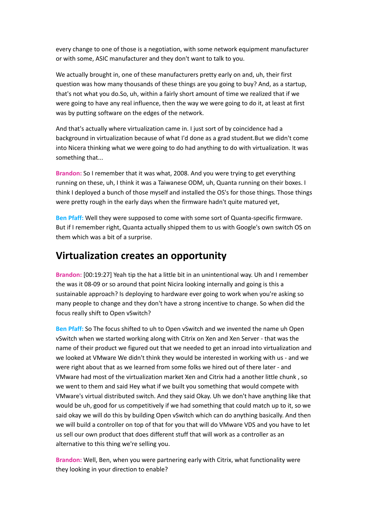every change to one of those is a negotiation, with some network equipment manufacturer or with some, ASIC manufacturer and they don't want to talk to you.

We actually brought in, one of these manufacturers pretty early on and, uh, their first question was how many thousands of these things are you going to buy? And, as a startup, that's not what you do.So, uh, within a fairly short amount of time we realized that if we were going to have any real influence, then the way we were going to do it, at least at first was by putting software on the edges of the network.

And that's actually where virtualization came in. I just sort of by coincidence had a background in virtualization because of what I'd done as a grad student.But we didn't come into Nicera thinking what we were going to do had anything to do with virtualization. It was something that...

**Brandon:** So I remember that it was what, 2008. And you were trying to get everything running on these, uh, I think it was a Taiwanese ODM, uh, Quanta running on their boxes. I think I deployed a bunch of those myself and installed the OS's for those things. Those things were pretty rough in the early days when the firmware hadn't quite matured yet,

**Ben Pfaff:** Well they were supposed to come with some sort of Quanta-specific firmware. But if I remember right, Quanta actually shipped them to us with Google's own switch OS on them which was a bit of a surprise.

### **Virtualization creates an opportunity**

**Brandon:** [00:19:27] Yeah tip the hat a little bit in an unintentional way. Uh and I remember the was it 08-09 or so around that point Nicira looking internally and going is this a sustainable approach? Is deploying to hardware ever going to work when you're asking so many people to change and they don't have a strong incentive to change. So when did the focus really shift to Open vSwitch?

**Ben Pfaff:** So The focus shifted to uh to Open vSwitch and we invented the name uh Open vSwitch when we started working along with Citrix on Xen and Xen Server - that was the name of their product we figured out that we needed to get an inroad into virtualization and we looked at VMware We didn't think they would be interested in working with us - and we were right about that as we learned from some folks we hired out of there later - and VMware had most of the virtualization market Xen and Citrix had a another little chunk , so we went to them and said Hey what if we built you something that would compete with VMware's virtual distributed switch. And they said Okay. Uh we don't have anything like that would be uh, good for us competitively if we had something that could match up to it, so we said okay we will do this by building Open vSwitch which can do anything basically. And then we will build a controller on top of that for you that will do VMware VDS and you have to let us sell our own product that does different stuff that will work as a controller as an alternative to this thing we're selling you.

**Brandon:** Well, Ben, when you were partnering early with Citrix, what functionality were they looking in your direction to enable?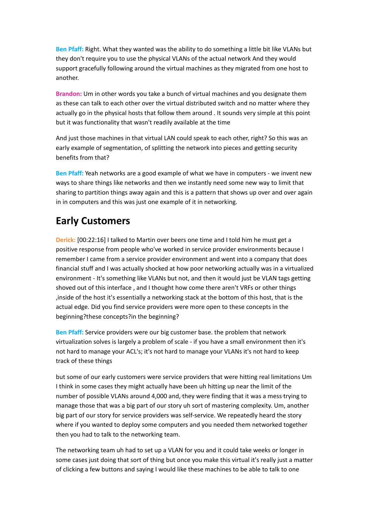**Ben Pfaff:** Right. What they wanted was the ability to do something a little bit like VLANs but they don't require you to use the physical VLANs of the actual network And they would support gracefully following around the virtual machines as they migrated from one host to another.

**Brandon:** Um in other words you take a bunch of virtual machines and you designate them as these can talk to each other over the virtual distributed switch and no matter where they actually go in the physical hosts that follow them around . It sounds very simple at this point but it was functionality that wasn't readily available at the time

And just those machines in that virtual LAN could speak to each other, right? So this was an early example of segmentation, of splitting the network into pieces and getting security benefits from that?

**Ben Pfaff:** Yeah networks are a good example of what we have in computers - we invent new ways to share things like networks and then we instantly need some new way to limit that sharing to partition things away again and this is a pattern that shows up over and over again in in computers and this was just one example of it in networking.

# **Early Customers**

**Derick:** [00:22:16] I talked to Martin over beers one time and I told him he must get a positive response from people who've worked in service provider environments because I remember I came from a service provider environment and went into a company that does financial stuff and I was actually shocked at how poor networking actually was in a virtualized environment - It's something like VLANs but not, and then it would just be VLAN tags getting shoved out of this interface , and I thought how come there aren't VRFs or other things ,inside of the host it's essentially a networking stack at the bottom of this host, that is the actual edge. Did you find service providers were more open to these concepts in the beginning?these concepts?in the beginning?

**Ben Pfaff:** Service providers were our big customer base. the problem that network virtualization solves is largely a problem of scale - if you have a small environment then it's not hard to manage your ACL's; it's not hard to manage your VLANs it's not hard to keep track of these things

but some of our early customers were service providers that were hitting real limitations Um I think in some cases they might actually have been uh hitting up near the limit of the number of possible VLANs around 4,000 and, they were finding that it was a mess trying to manage those that was a big part of our story uh sort of mastering complexity. Um, another big part of our story for service providers was self-service. We repeatedly heard the story where if you wanted to deploy some computers and you needed them networked together then you had to talk to the networking team.

The networking team uh had to set up a VLAN for you and it could take weeks or longer in some cases just doing that sort of thing but once you make this virtual it's really just a matter of clicking a few buttons and saying I would like these machines to be able to talk to one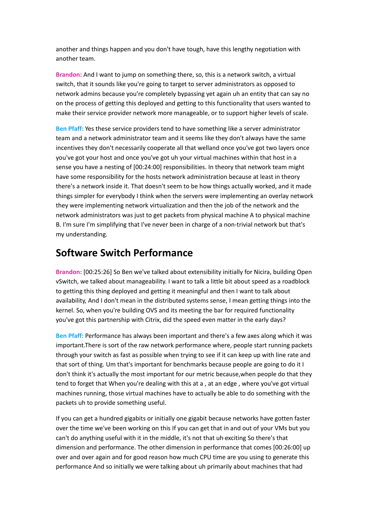another and things happen and you don't have tough, have this lengthy negotiation with another team.

**Brandon:** And I want to jump on something there, so, this is a network switch, a virtual switch, that it sounds like you're going to target to server administrators as opposed to network admins because you're completely bypassing yet again uh an entity that can say no on the process of getting this deployed and getting to this functionality that users wanted to make their service provider network more manageable, or to support higher levels of scale.

**Ben Pfaff:** Yes these service providers tend to have something like a server administrator team and a network administrator team and it seems like they don't always have the same incentives they don't necessarily cooperate all that welland once you've got two layers once you've got your host and once you've got uh your virtual machines within that host in a sense you have a nesting of [00:24:00] responsibilities. In theory that network team might have some responsibility for the hosts network administration because at least in theory there's a network inside it. That doesn't seem to be how things actually worked, and it made things simpler for everybody I think when the servers were implementing an overlay network they were implementing network virtualization and then the job of the network and the network administrators was just to get packets from physical machine A to physical machine B. I'm sure I'm simplifying that I've never been in charge of a non-trivial network but that's my understanding.

### **Software Switch Performance**

**Brandon:** [00:25:26] So Ben we've talked about extensibility initially for Nicira, building Open vSwitch, we talked about manageability. I want to talk a little bit about speed as a roadblock to getting this thing deployed and getting it meaningful and then I want to talk about availability, And I don't mean in the distributed systems sense, I mean getting things into the kernel. So, when you're building OVS and its meeting the bar for required functionality you've got this partnership with Citrix, did the speed even matter in the early days?

**Ben Pfaff:** Performance has always been important and there's a few axes along which it was important.There is sort of the raw network performance where, people start running packets through your switch as fast as possible when trying to see if it can keep up with line rate and that sort of thing. Um that's important for benchmarks because people are going to do it I don't think it's actually the most important for our metric because,when people do that they tend to forget that When you're dealing with this at a , at an edge , where you've got virtual machines running, those virtual machines have to actually be able to do something with the packets uh to provide something useful.

If you can get a hundred gigabits or initially one gigabit because networks have gotten faster over the time we've been working on this If you can get that in and out of your VMs but you can't do anything useful with it in the middle, it's not that uh exciting So there's that dimension and performance. The other dimension in performance that comes [00:26:00] up over and over again and for good reason how much CPU time are you using to generate this performance And so initially we were talking about uh primarily about machines that had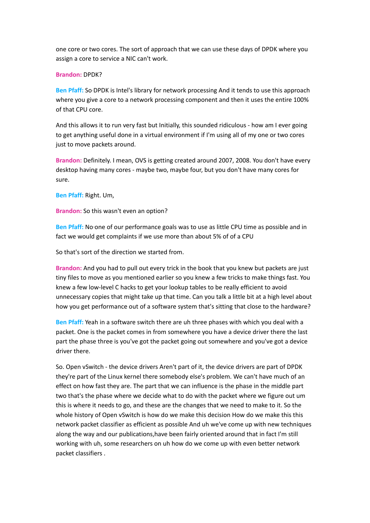one core or two cores. The sort of approach that we can use these days of DPDK where you assign a core to service a NIC can't work.

#### **Brandon:** DPDK?

**Ben Pfaff:** So DPDK is Intel's library for network processing And it tends to use this approach where you give a core to a network processing component and then it uses the entire 100% of that CPU core.

And this allows it to run very fast but Initially, this sounded ridiculous - how am I ever going to get anything useful done in a virtual environment if I'm using all of my one or two cores just to move packets around.

**Brandon:** Definitely. I mean, OVS is getting created around 2007, 2008. You don't have every desktop having many cores - maybe two, maybe four, but you don't have many cores for sure.

**Ben Pfaff:** Right. Um,

**Brandon:** So this wasn't even an option?

**Ben Pfaff:** No one of our performance goals was to use as little CPU time as possible and in fact we would get complaints if we use more than about 5% of of a CPU

So that's sort of the direction we started from.

**Brandon:** And you had to pull out every trick in the book that you knew but packets are just tiny files to move as you mentioned earlier so you knew a few tricks to make things fast. You knew a few low-level C hacks to get your lookup tables to be really efficient to avoid unnecessary copies that might take up that time. Can you talk a little bit at a high level about how you get performance out of a software system that's sitting that close to the hardware?

**Ben Pfaff:** Yeah in a software switch there are uh three phases with which you deal with a packet. One is the packet comes in from somewhere you have a device driver there the last part the phase three is you've got the packet going out somewhere and you've got a device driver there.

So. Open vSwitch - the device drivers Aren't part of it, the device drivers are part of DPDK they're part of the Linux kernel there somebody else's problem. We can't have much of an effect on how fast they are. The part that we can influence is the phase in the middle part two that's the phase where we decide what to do with the packet where we figure out um this is where it needs to go, and these are the changes that we need to make to it. So the whole history of Open vSwitch is how do we make this decision How do we make this this network packet classifier as efficient as possible And uh we've come up with new techniques along the way and our publications,have been fairly oriented around that in fact I'm still working with uh, some researchers on uh how do we come up with even better network packet classifiers .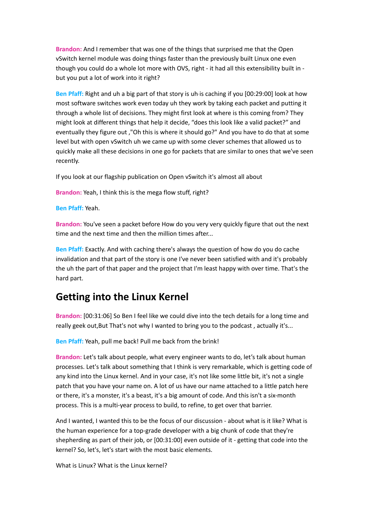**Brandon:** And I remember that was one of the things that surprised me that the Open vSwitch kernel module was doing things faster than the previously built Linux one even though you could do a whole lot more with OVS, right - it had all this extensibility built in but you put a lot of work into it right?

**Ben Pfaff:** Right and uh a big part of that story is uh is caching if you [00:29:00] look at how most software switches work even today uh they work by taking each packet and putting it through a whole list of decisions. They might first look at where is this coming from? They might look at different things that help it decide, "does this look like a valid packet?" and eventually they figure out ,"Oh this is where it should go?" And you have to do that at some level but with open vSwitch uh we came up with some clever schemes that allowed us to quickly make all these decisions in one go for packets that are similar to ones that we've seen recently.

If you look at our flagship publication on Open vSwitch it's almost all about

**Brandon:** Yeah, I think this is the mega flow stuff, right?

**Ben Pfaff:** Yeah.

**Brandon:** You've seen a packet before How do you very very quickly figure that out the next time and the next time and then the million times after...

**Ben Pfaff:** Exactly. And with caching there's always the question of how do you do cache invalidation and that part of the story is one I've never been satisfied with and it's probably the uh the part of that paper and the project that I'm least happy with over time. That's the hard part.

### **Getting into the Linux Kernel**

**Brandon:** [00:31:06] So Ben I feel like we could dive into the tech details for a long time and really geek out,But That's not why I wanted to bring you to the podcast , actually it's...

**Ben Pfaff:** Yeah, pull me back! Pull me back from the brink!

**Brandon:** Let's talk about people, what every engineer wants to do, let's talk about human processes. Let's talk about something that I think is very remarkable, which is getting code of any kind into the Linux kernel. And in your case, it's not like some little bit, it's not a single patch that you have your name on. A lot of us have our name attached to a little patch here or there, it's a monster, it's a beast, it's a big amount of code. And this isn't a six-month process. This is a multi-year process to build, to refine, to get over that barrier.

And I wanted, I wanted this to be the focus of our discussion - about what is it like? What is the human experience for a top-grade developer with a big chunk of code that they're shepherding as part of their job, or [00:31:00] even outside of it - getting that code into the kernel? So, let's, let's start with the most basic elements.

What is Linux? What is the Linux kernel?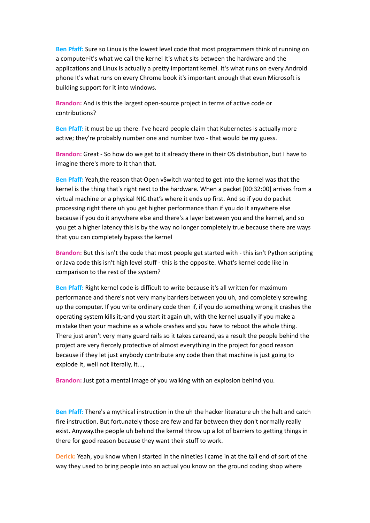**Ben Pfaff:** Sure so Linux is the lowest level code that most programmers think of running on a computer-it's what we call the kernel It's what sits between the hardware and the applications and Linux is actually a pretty important kernel. It's what runs on every Android phone It's what runs on every Chrome book it's important enough that even Microsoft is building support for it into windows.

**Brandon:** And is this the largest open-source project in terms of active code or contributions?

**Ben Pfaff:** it must be up there. I've heard people claim that Kubernetes is actually more active; they're probably number one and number two - that would be my guess.

**Brandon:** Great - So how do we get to it already there in their OS distribution, but I have to imagine there's more to it than that.

**Ben Pfaff:** Yeah,the reason that Open vSwitch wanted to get into the kernel was that the kernel is the thing that's right next to the hardware. When a packet [00:32:00] arrives from a virtual machine or a physical NIC that's where it ends up first. And so if you do packet processing right there uh you get higher performance than if you do it anywhere else because if you do it anywhere else and there's a layer between you and the kernel, and so you get a higher latency this is by the way no longer completely true because there are ways that you can completely bypass the kernel

**Brandon:** But this isn't the code that most people get started with - this isn't Python scripting or Java code this isn't high level stuff - this is the opposite. What's kernel code like in comparison to the rest of the system?

**Ben Pfaff:** Right kernel code is difficult to write because it's all written for maximum performance and there's not very many barriers between you uh, and completely screwing up the computer. If you write ordinary code then if, if you do something wrong it crashes the operating system kills it, and you start it again uh, with the kernel usually if you make a mistake then your machine as a whole crashes and you have to reboot the whole thing. There just aren't very many guard rails so it takes careand, as a result the people behind the project are very fiercely protective of almost everything in the project for good reason because if they let just anybody contribute any code then that machine is just going to explode It, well not literally, it...,

**Brandon:** Just got a mental image of you walking with an explosion behind you.

**Ben Pfaff:** There's a mythical instruction in the uh the hacker literature uh the halt and catch fire instruction. But fortunately those are few and far between they don't normally really exist. Anyway.the people uh behind the kernel throw up a lot of barriers to getting things in there for good reason because they want their stuff to work.

**Derick:** Yeah, you know when I started in the nineties I came in at the tail end of sort of the way they used to bring people into an actual you know on the ground coding shop where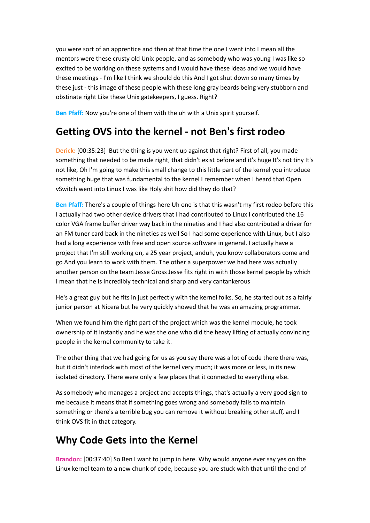you were sort of an apprentice and then at that time the one I went into I mean all the mentors were these crusty old Unix people, and as somebody who was young I was like so excited to be working on these systems and I would have these ideas and we would have these meetings - I'm like I think we should do this And I got shut down so many times by these just - this image of these people with these long gray beards being very stubborn and obstinate right Like these Unix gatekeepers, I guess. Right?

**Ben Pfaff:** Now you're one of them with the uh with a Unix spirit yourself.

# **Getting OVS into the kernel - not Ben's first rodeo**

**Derick:** [00:35:23] But the thing is you went up against that right? First of all, you made something that needed to be made right, that didn't exist before and it's huge It's not tiny It's not like, Oh I'm going to make this small change to this little part of the kernel you introduce something huge that was fundamental to the kernel I remember when I heard that Open vSwitch went into Linux I was like Holy shit how did they do that?

**Ben Pfaff:** There's a couple of things here Uh one is that this wasn't my first rodeo before this I actually had two other device drivers that I had contributed to Linux I contributed the 16 color VGA frame buffer driver way back in the nineties and I had also contributed a driver for an FM tuner card back in the nineties as well So I had some experience with Linux, but I also had a long experience with free and open source software in general. I actually have a project that I'm still working on, a 25 year project, anduh, you know collaborators come and go And you learn to work with them. The other a superpower we had here was actually another person on the team Jesse Gross Jesse fits right in with those kernel people by which I mean that he is incredibly technical and sharp and very cantankerous

He's a great guy but he fits in just perfectly with the kernel folks. So, he started out as a fairly junior person at Nicera but he very quickly showed that he was an amazing programmer.

When we found him the right part of the project which was the kernel module, he took ownership of it instantly and he was the one who did the heavy lifting of actually convincing people in the kernel community to take it.

The other thing that we had going for us as you say there was a lot of code there there was, but it didn't interlock with most of the kernel very much; it was more or less, in its new isolated directory. There were only a few places that it connected to everything else.

As somebody who manages a project and accepts things, that's actually a very good sign to me because it means that if something goes wrong and somebody fails to maintain something or there's a terrible bug you can remove it without breaking other stuff, and I think OVS fit in that category.

# **Why Code Gets into the Kernel**

**Brandon:** [00:37:40] So Ben I want to jump in here. Why would anyone ever say yes on the Linux kernel team to a new chunk of code, because you are stuck with that until the end of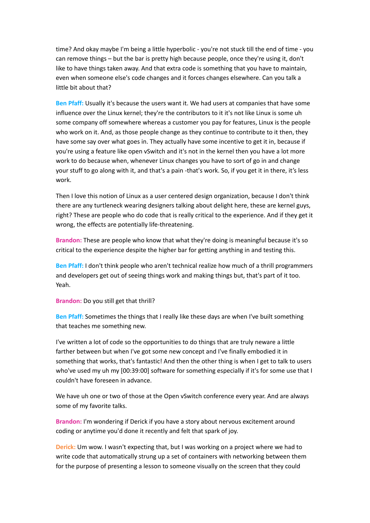time? And okay maybe I'm being a little hyperbolic - you're not stuck till the end of time - you can remove things – but the bar is pretty high because people, once they're using it, don't like to have things taken away. And that extra code is something that you have to maintain, even when someone else's code changes and it forces changes elsewhere. Can you talk a little bit about that?

**Ben Pfaff:** Usually it's because the users want it. We had users at companies that have some influence over the Linux kernel; they're the contributors to it it's not like Linux is some uh some company off somewhere whereas a customer you pay for features, Linux is the people who work on it. And, as those people change as they continue to contribute to it then, they have some say over what goes in. They actually have some incentive to get it in, because if you're using a feature like open vSwitch and it's not in the kernel then you have a lot more work to do because when, whenever Linux changes you have to sort of go in and change your stuff to go along with it, and that's a pain -that's work. So, if you get it in there, it's less work.

Then I love this notion of Linux as a user centered design organization, because I don't think there are any turtleneck wearing designers talking about delight here, these are kernel guys, right? These are people who do code that is really critical to the experience. And if they get it wrong, the effects are potentially life-threatening.

**Brandon:** These are people who know that what they're doing is meaningful because it's so critical to the experience despite the higher bar for getting anything in and testing this.

**Ben Pfaff:** I don't think people who aren't technical realize how much of a thrill programmers and developers get out of seeing things work and making things but, that's part of it too. Yeah.

**Brandon:** Do you still get that thrill?

**Ben Pfaff:** Sometimes the things that I really like these days are when I've built something that teaches me something new.

I've written a lot of code so the opportunities to do things that are truly neware a little farther between but when I've got some new concept and I've finally embodied it in something that works, that's fantastic! And then the other thing is when I get to talk to users who've used my uh my [00:39:00] software for something especially if it's for some use that I couldn't have foreseen in advance.

We have uh one or two of those at the Open vSwitch conference every year. And are always some of my favorite talks.

**Brandon:** I'm wondering if Derick if you have a story about nervous excitement around coding or anytime you'd done it recently and felt that spark of joy.

**Derick:** Um wow. I wasn't expecting that, but I was working on a project where we had to write code that automatically strung up a set of containers with networking between them for the purpose of presenting a lesson to someone visually on the screen that they could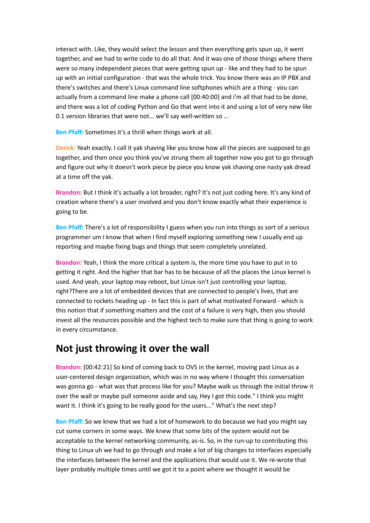interact with. Like, they would select the lesson and then everything gets spun up, it went together, and we had to write code to do all that. And it was one of those things where there were so many independent pieces that were getting spun up - like and they had to be spun up with an initial configuration - that was the whole trick. You know there was an IP PBX and there's switches and there's Linux command line softphones which are a thing - you can actually from a command line make a phone call [00:40:00] and i'm all that had to be done, and there was a lot of coding Python and Go that went into it and using a lot of very new like 0.1 version libraries that were not... we'll say well-written so ...

**Ben Pfaff:** Sometimes it's a thrill when things work at all.

**Derick:** Yeah exactly. I call it yak shaving like you know how all the pieces are supposed to go together, and then once you think you've strung them all together now you got to go through and figure out why it doesn't work piece by piece you know yak shaving one nasty yak dread at a time off the yak.

**Brandon:** But I think it's actually a lot broader, right? It's not just coding here. It's any kind of creation where there's a user involved and you don't know exactly what their experience is going to be.

**Ben Pfaff:** There's a lot of responsibility I guess when you run into things as sort of a serious programmer um I know that when I find myself exploring something new I usually end up reporting and maybe fixing bugs and things that seem completely unrelated.

**Brandon:** Yeah, I think the more critical a system is, the more time you have to put in to getting it right. And the higher that bar has to be because of all the places the Linux kernel is used. And yeah, your laptop may reboot, but Linux isn't just controlling your laptop, right?There are a lot of embedded devices that are connected to people's lives, that are connected to rockets heading up - In fact this is part of what motivated Forward - which is this notion that if something matters and the cost of a failure is very high, then you should invest all the resources possible and the highest tech to make sure that thing is going to work in every circumstance.

### **Not just throwing it over the wall**

**Brandon:** [00:42:21] So kind of coming back to OVS in the kernel, moving past Linux as a user-centered design organization, which was in no way where I thought this conversation was gonna go - what was that process like for you? Maybe walk us through the initial throw it over the wall or maybe pull someone aside and say, Hey I got this code." I think you might want it. I think it's going to be really good for the users..." What's the next step?

**Ben Pfaff:** So we knew that we had a lot of homework to do because we had you might say cut some corners in some ways. We knew that some bits of the system would not be acceptable to the kernel networking community, as-is. So, in the run-up to contributing this thing to Linux uh we had to go through and make a lot of big changes to interfaces especially the interfaces between the kernel and the applications that would use it. We re-wrote that layer probably multiple times until we got it to a point where we thought it would be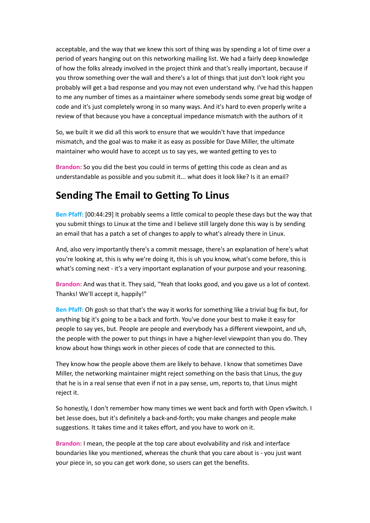acceptable, and the way that we knew this sort of thing was by spending a lot of time over a period of years hanging out on this networking mailing list. We had a fairly deep knowledge of how the folks already involved in the project think and that's really important, because if you throw something over the wall and there's a lot of things that just don't look right you probably will get a bad response and you may not even understand why. I've had this happen to me any number of times as a maintainer where somebody sends some great big wodge of code and it's just completely wrong in so many ways. And it's hard to even properly write a review of that because you have a conceptual impedance mismatch with the authors of it

So, we built it we did all this work to ensure that we wouldn't have that impedance mismatch, and the goal was to make it as easy as possible for Dave Miller, the ultimate maintainer who would have to accept us to say yes, we wanted getting to yes to

**Brandon:** So you did the best you could in terms of getting this code as clean and as understandable as possible and you submit it... what does it look like? Is it an email?

### **Sending The Email to Getting To Linus**

**Ben Pfaff:** [00:44:29] It probably seems a little comical to people these days but the way that you submit things to Linux at the time and I believe still largely done this way is by sending an email that has a patch a set of changes to apply to what's already there in Linux.

And, also very importantly there's a commit message, there's an explanation of here's what you're looking at, this is why we're doing it, this is uh you know, what's come before, this is what's coming next - it's a very important explanation of your purpose and your reasoning.

**Brandon:** And was that it. They said, "Yeah that looks good, and you gave us a lot of context. Thanks! We'll accept it, happily!"

**Ben Pfaff:** Oh gosh so that that's the way it works for something like a trivial bug fix but, for anything big it's going to be a back and forth. You've done your best to make it easy for people to say yes, but. People are people and everybody has a different viewpoint, and uh, the people with the power to put things in have a higher-level viewpoint than you do. They know about how things work in other pieces of code that are connected to this.

They know how the people above them are likely to behave. I know that sometimes Dave Miller, the networking maintainer might reject something on the basis that Linus, the guy that he is in a real sense that even if not in a pay sense, um, reports to, that Linus might reject it.

So honestly, I don't remember how many times we went back and forth with Open vSwitch. I bet Jesse does, but it's definitely a back-and-forth; you make changes and people make suggestions. It takes time and it takes effort, and you have to work on it.

**Brandon:** I mean, the people at the top care about evolvability and risk and interface boundaries like you mentioned, whereas the chunk that you care about is - you just want your piece in, so you can get work done, so users can get the benefits.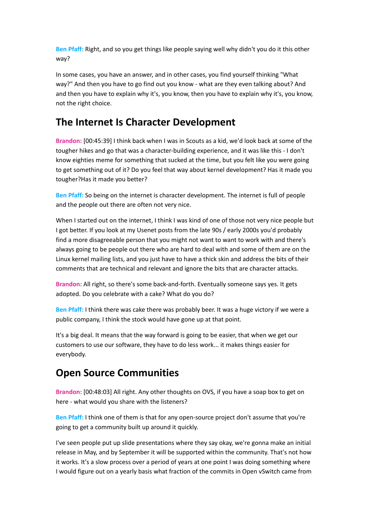**Ben Pfaff:** Right, and so you get things like people saying well why didn't you do it this other way?

In some cases, you have an answer, and in other cases, you find yourself thinking "What way?" And then you have to go find out you know - what are they even talking about? And and then you have to explain why it's, you know, then you have to explain why it's, you know, not the right choice.

# **The Internet Is Character Development**

**Brandon:** [00:45:39] I think back when I was in Scouts as a kid, we'd look back at some of the tougher hikes and go that was a character-building experience, and it was like this - I don't know eighties meme for something that sucked at the time, but you felt like you were going to get something out of it? Do you feel that way about kernel development? Has it made you tougher?Has it made you better?

**Ben Pfaff:** So being on the internet is character development. The internet is full of people and the people out there are often not very nice.

When I started out on the internet, I think I was kind of one of those not very nice people but I got better. If you look at my Usenet posts from the late 90s / early 2000s you'd probably find a more disagreeable person that you might not want to want to work with and there's always going to be people out there who are hard to deal with and some of them are on the Linux kernel mailing lists, and you just have to have a thick skin and address the bits of their comments that are technical and relevant and ignore the bits that are character attacks.

**Brandon:** All right, so there's some back-and-forth. Eventually someone says yes. It gets adopted. Do you celebrate with a cake? What do you do?

**Ben Pfaff:** I think there was cake there was probably beer. It was a huge victory if we were a public company, I think the stock would have gone up at that point.

It's a big deal. It means that the way forward is going to be easier, that when we get our customers to use our software, they have to do less work... it makes things easier for everybody.

# **Open Source Communities**

**Brandon:** [00:48:03] All right. Any other thoughts on OVS, if you have a soap box to get on here - what would you share with the listeners?

**Ben Pfaff:** I think one of them is that for any open-source project don't assume that you're going to get a community built up around it quickly.

I've seen people put up slide presentations where they say okay, we're gonna make an initial release in May, and by September it will be supported within the community. That's not how it works. It's a slow process over a period of years at one point I was doing something where I would figure out on a yearly basis what fraction of the commits in Open vSwitch came from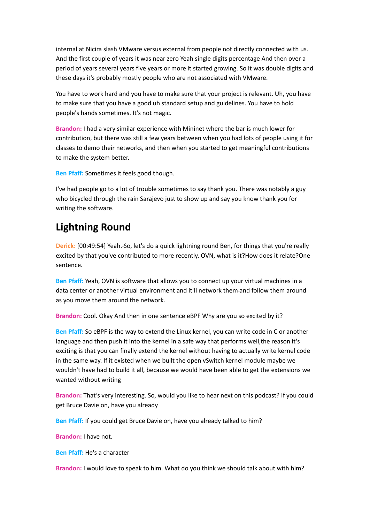internal at Nicira slash VMware versus external from people not directly connected with us. And the first couple of years it was near zero Yeah single digits percentage And then over a period of years several years five years or more it started growing. So it was double digits and these days it's probably mostly people who are not associated with VMware.

You have to work hard and you have to make sure that your project is relevant. Uh, you have to make sure that you have a good uh standard setup and guidelines. You have to hold people's hands sometimes. It's not magic.

**Brandon:** I had a very similar experience with Mininet where the bar is much lower for contribution, but there was still a few years between when you had lots of people using it for classes to demo their networks, and then when you started to get meaningful contributions to make the system better.

**Ben Pfaff:** Sometimes it feels good though.

I've had people go to a lot of trouble sometimes to say thank you. There was notably a guy who bicycled through the rain Sarajevo just to show up and say you know thank you for writing the software.

## **Lightning Round**

**Derick:** [00:49:54] Yeah. So, let's do a quick lightning round Ben, for things that you're really excited by that you've contributed to more recently. OVN, what is it?How does it relate?One sentence.

**Ben Pfaff:** Yeah, OVN is software that allows you to connect up your virtual machines in a data center or another virtual environment and it'll network them and follow them around as you move them around the network.

**Brandon:** Cool. Okay And then in one sentence eBPF Why are you so excited by it?

**Ben Pfaff:** So eBPF is the way to extend the Linux kernel, you can write code in C or another language and then push it into the kernel in a safe way that performs well,the reason it's exciting is that you can finally extend the kernel without having to actually write kernel code in the same way. If it existed when we built the open vSwitch kernel module maybe we wouldn't have had to build it all, because we would have been able to get the extensions we wanted without writing

**Brandon:** That's very interesting. So, would you like to hear next on this podcast? If you could get Bruce Davie on, have you already

**Ben Pfaff:** If you could get Bruce Davie on, have you already talked to him?

**Brandon:** I have not.

**Ben Pfaff:** He's a character

**Brandon:** I would love to speak to him. What do you think we should talk about with him?